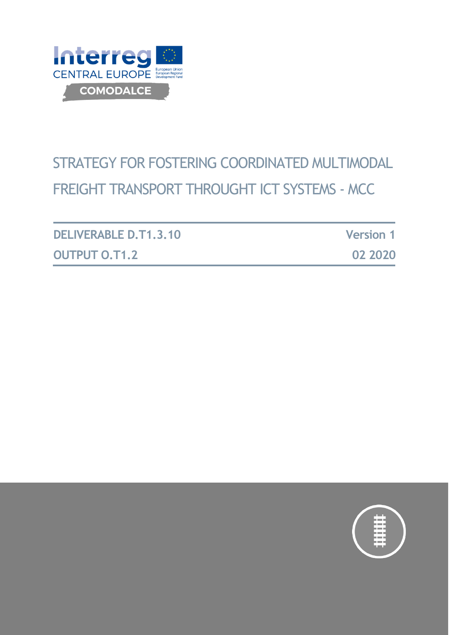

# STRATEGY FOR FOSTERING COORDINATED MULTIMODAL FREIGHT TRANSPORT THROUGHT ICT SYSTEMS - MCC

| <b>DELIVERABLE D.T1.3.10</b> | <b>Version 1</b> |
|------------------------------|------------------|
| <b>OUTPUT O.T1.2</b>         | 02 2020          |

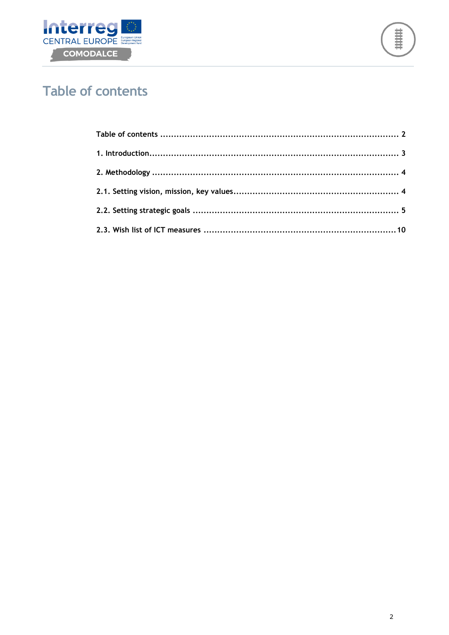



# <span id="page-1-0"></span>**Table of contents**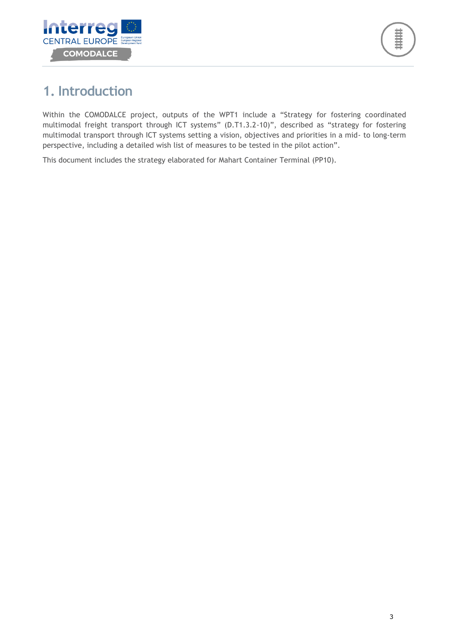

# <span id="page-2-0"></span>**1. Introduction**

Within the COMODALCE project, outputs of the WPT1 include a "Strategy for fostering coordinated multimodal freight transport through ICT systems" (D.T1.3.2-10)", described as "strategy for fostering multimodal transport through ICT systems setting a vision, objectives and priorities in a mid- to long-term perspective, including a detailed wish list of measures to be tested in the pilot action".

This document includes the strategy elaborated for Mahart Container Terminal (PP10).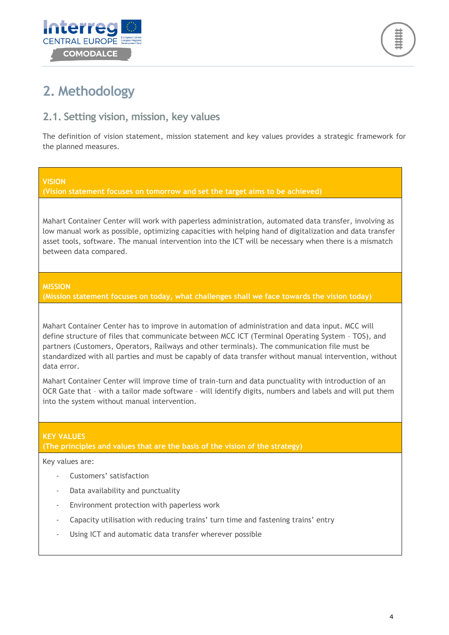



# <span id="page-3-0"></span>**2. Methodology**

### <span id="page-3-1"></span>**2.1. Setting vision, mission, key values**

The definition of vision statement, mission statement and key values provides a strategic framework for the planned measures.

#### **VISION**

**(Vision statement focuses on tomorrow and set the target aims to be achieved)**

Mahart Container Center will work with paperless administration, automated data transfer, involving as low manual work as possible, optimizing capacities with helping hand of digitalization and data transfer asset tools, software. The manual intervention into the ICT will be necessary when there is a mismatch between data compared.

#### **MISSION**

**(Mission statement focuses on today, what challenges shall we face towards the vision today)**

Mahart Container Center has to improve in automation of administration and data input. MCC will define structure of files that communicate between MCC ICT (Terminal Operating System – TOS), and partners (Customers, Operators, Railways and other terminals). The communication file must be standardized with all parties and must be capably of data transfer without manual intervention, without data error.

Mahart Container Center will improve time of train-turn and data punctuality with introduction of an OCR Gate that – with a tailor made software – will identify digits, numbers and labels and will put them into the system without manual intervention.

#### **KEY VALUES**

**(The principles and values that are the basis of the vision of the strategy)**

Key values are:

- Customers' satisfaction
- Data availability and punctuality
- Environment protection with paperless work
- Capacity utilisation with reducing trains' turn time and fastening trains' entry
- Using ICT and automatic data transfer wherever possible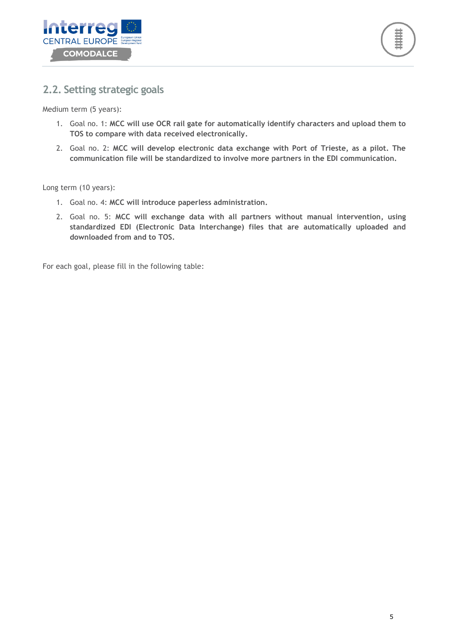



### <span id="page-4-0"></span>**2.2. Setting strategic goals**

Medium term (5 years):

- 1. Goal no. 1: **MCC will use OCR rail gate for automatically identify characters and upload them to TOS to compare with data received electronically.**
- 2. Goal no. 2: **MCC will develop electronic data exchange with Port of Trieste, as a pilot. The communication file will be standardized to involve more partners in the EDI communication.**

Long term (10 years):

- 1. Goal no. 4: **MCC will introduce paperless administration.**
- 2. Goal no. 5: **MCC will exchange data with all partners without manual intervention, using standardized EDI (Electronic Data Interchange) files that are automatically uploaded and downloaded from and to TOS.**

For each goal, please fill in the following table: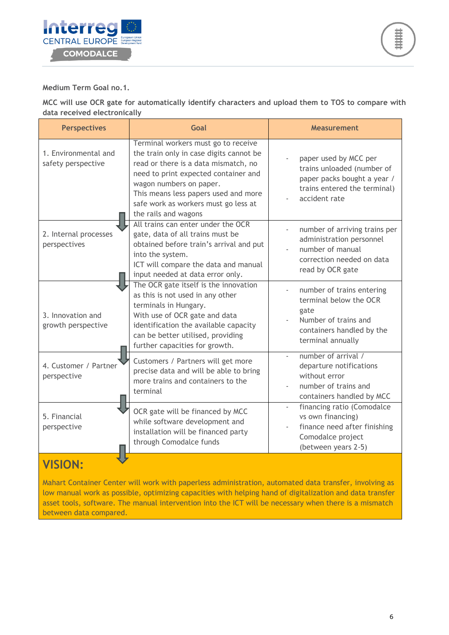

**Medium Term Goal no.1.**

**MCC will use OCR gate for automatically identify characters and upload them to TOS to compare with data received electronically**

| <b>Perspectives</b>                        | Goal                                                                                                                                                                                                                                                                                              | <b>Measurement</b>                                                                                                                    |
|--------------------------------------------|---------------------------------------------------------------------------------------------------------------------------------------------------------------------------------------------------------------------------------------------------------------------------------------------------|---------------------------------------------------------------------------------------------------------------------------------------|
| 1. Environmental and<br>safety perspective | Terminal workers must go to receive<br>the train only in case digits cannot be<br>read or there is a data mismatch, no<br>need to print expected container and<br>wagon numbers on paper.<br>This means less papers used and more<br>safe work as workers must go less at<br>the rails and wagons | paper used by MCC per<br>trains unloaded (number of<br>paper packs bought a year /<br>trains entered the terminal)<br>accident rate   |
| 2. Internal processes<br>perspectives      | All trains can enter under the OCR<br>gate, data of all trains must be<br>obtained before train's arrival and put<br>into the system.<br>ICT will compare the data and manual<br>input needed at data error only.                                                                                 | number of arriving trains per<br>administration personnel<br>number of manual<br>correction needed on data<br>read by OCR gate        |
| 3. Innovation and<br>growth perspective    | The OCR gate itself is the innovation<br>as this is not used in any other<br>terminals in Hungary.<br>With use of OCR gate and data<br>identification the available capacity<br>can be better utilised, providing<br>further capacities for growth.                                               | number of trains entering<br>terminal below the OCR<br>gate<br>Number of trains and<br>containers handled by the<br>terminal annually |
| 4. Customer / Partner<br>perspective       | Customers / Partners will get more<br>precise data and will be able to bring<br>more trains and containers to the<br>terminal                                                                                                                                                                     | number of arrival /<br>departure notifications<br>without error<br>number of trains and<br>containers handled by MCC                  |
| 5. Financial<br>perspective                | OCR gate will be financed by MCC<br>while software development and<br>installation will be financed party<br>through Comodalce funds                                                                                                                                                              | financing ratio (Comodalce<br>vs own financing)<br>finance need after finishing<br>Comodalce project<br>(between years 2-5)           |
| $\sqrt{1610}$                              |                                                                                                                                                                                                                                                                                                   |                                                                                                                                       |

# **VISION:**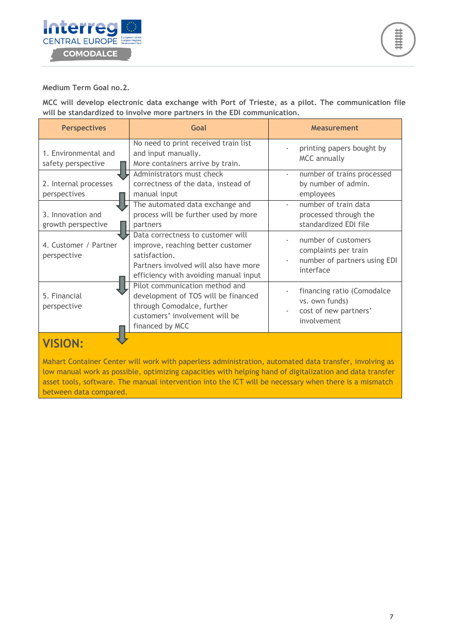

#### **Medium Term Goal no.2.**

**MCC will develop electronic data exchange with Port of Trieste, as a pilot. The communication file will be standardized to involve more partners in the EDI communication.**

| <b>Perspectives</b>                        | Goal                                                                                                                                                                      | <b>Measurement</b>                                                                       |
|--------------------------------------------|---------------------------------------------------------------------------------------------------------------------------------------------------------------------------|------------------------------------------------------------------------------------------|
| 1. Environmental and<br>safety perspective | No need to print received train list<br>and input manually.<br>More containers arrive by train.                                                                           | printing papers bought by<br><b>MCC</b> annually                                         |
| 2. Internal processes<br>perspectives      | Administrators must check<br>correctness of the data, instead of<br>manual input                                                                                          | number of trains processed<br>by number of admin.<br>employees                           |
| 3. Innovation and<br>growth perspective    | The automated data exchange and<br>process will be further used by more<br>partners                                                                                       | number of train data<br>processed through the<br>standardized EDI file                   |
| 4. Customer / Partner<br>perspective       | Data correctness to customer will<br>improve, reaching better customer<br>satisfaction.<br>Partners involved will also have more<br>efficiency with avoiding manual input | number of customers<br>complaints per train<br>number of partners using EDI<br>interface |
| 5. Financial<br>perspective                | Pilot communication method and<br>development of TOS will be financed<br>through Comodalce, further<br>customers' involvement will be<br>financed by MCC                  | financing ratio (Comodalce<br>vs. own funds)<br>cost of new partners'<br>involvement     |

# **VISION:**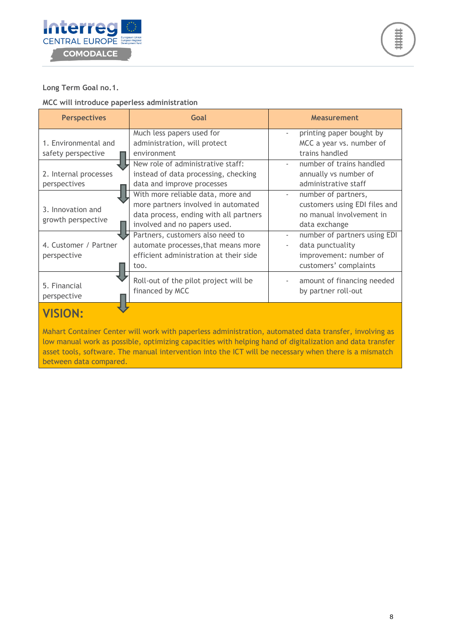



#### **Long Term Goal no.1.**

#### **MCC will introduce paperless administration**

| <b>Perspectives</b>         | Goal                                                     | <b>Measurement</b>                                       |
|-----------------------------|----------------------------------------------------------|----------------------------------------------------------|
|                             | Much less papers used for                                | printing paper bought by                                 |
| 1. Environmental and        | administration, will protect                             | MCC a year vs. number of                                 |
| safety perspective          | environment                                              | trains handled                                           |
|                             | New role of administrative staff:                        | number of trains handled                                 |
| 2. Internal processes       | instead of data processing, checking                     | annually vs number of                                    |
| perspectives                | data and improve processes                               | administrative staff                                     |
|                             | With more reliable data, more and                        | number of partners,                                      |
| 3. Innovation and           | more partners involved in automated                      | customers using EDI files and                            |
| growth perspective          | data process, ending with all partners                   | no manual involvement in                                 |
|                             | involved and no papers used.                             | data exchange                                            |
|                             | Partners, customers also need to                         | number of partners using EDI<br>$\overline{\phantom{a}}$ |
| 4. Customer / Partner       | automate processes, that means more                      | data punctuality                                         |
| perspective                 | efficient administration at their side                   | improvement: number of                                   |
|                             | too.                                                     | customers' complaints                                    |
| 5. Financial<br>perspective | Roll-out of the pilot project will be<br>financed by MCC | amount of financing needed<br>by partner roll-out        |
| . <i>.</i> .                |                                                          |                                                          |

## **VISION:**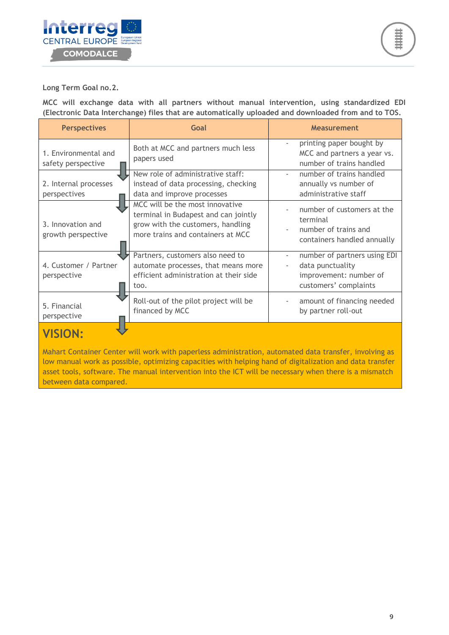

**Long Term Goal no.2.**

**MCC will exchange data with all partners without manual intervention, using standardized EDI (Electronic Data Interchange) files that are automatically uploaded and downloaded from and to TOS.**

| <b>Perspectives</b>                        | Goal                                                                                                                                              | <b>Measurement</b>                                                                                                              |
|--------------------------------------------|---------------------------------------------------------------------------------------------------------------------------------------------------|---------------------------------------------------------------------------------------------------------------------------------|
| 1. Environmental and<br>safety perspective | Both at MCC and partners much less<br>papers used                                                                                                 | printing paper bought by<br>$\overline{\phantom{a}}$<br>MCC and partners a year vs.<br>number of trains handled                 |
| 2. Internal processes<br>perspectives      | New role of administrative staff:<br>instead of data processing, checking<br>data and improve processes                                           | number of trains handled<br>annually vs number of<br>administrative staff                                                       |
| 3. Innovation and<br>growth perspective    | MCC will be the most innovative<br>terminal in Budapest and can jointly<br>grow with the customers, handling<br>more trains and containers at MCC | number of customers at the<br>terminal<br>number of trains and<br>containers handled annually                                   |
| 4. Customer / Partner<br>perspective       | Partners, customers also need to<br>automate processes, that means more<br>efficient administration at their side<br>too.                         | number of partners using EDI<br>$\overline{\phantom{a}}$<br>data punctuality<br>improvement: number of<br>customers' complaints |
| 5. Financial<br>perspective                | Roll-out of the pilot project will be<br>financed by MCC                                                                                          | amount of financing needed<br>by partner roll-out                                                                               |
|                                            |                                                                                                                                                   |                                                                                                                                 |